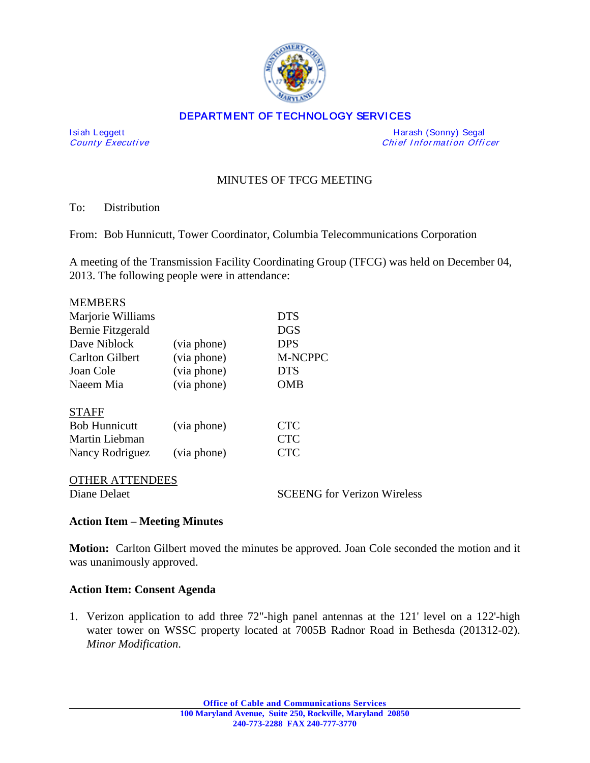

### DEPARTMENT OF TECHNOLOGY SERVICES

I si ah Leggett Harash (Sonny) Segal Chief Information Officer

# MINUTES OF TFCG MEETING

To: Distribution

From: Bob Hunnicutt, Tower Coordinator, Columbia Telecommunications Corporation

A meeting of the Transmission Facility Coordinating Group (TFCG) was held on December 04, 2013. The following people were in attendance:

| <b>MEMBERS</b>         |             |                                    |
|------------------------|-------------|------------------------------------|
| Marjorie Williams      |             | <b>DTS</b>                         |
| Bernie Fitzgerald      |             | <b>DGS</b>                         |
| Dave Niblock           | (via phone) | <b>DPS</b>                         |
| <b>Carlton Gilbert</b> | (via phone) | <b>M-NCPPC</b>                     |
| Joan Cole              | (via phone) | <b>DTS</b>                         |
| Naeem Mia              | (via phone) | OMB                                |
| <b>STAFF</b>           |             |                                    |
| <b>Bob Hunnicutt</b>   | (via phone) | <b>CTC</b>                         |
| Martin Liebman         |             | <b>CTC</b>                         |
| Nancy Rodriguez        | (via phone) | <b>CTC</b>                         |
| THER ATTENDEES         |             |                                    |
| Diane Delaet           |             | <b>SCEENG</b> for Verizon Wireless |

### **Action Item – Meeting Minutes**

**Motion:** Carlton Gilbert moved the minutes be approved. Joan Cole seconded the motion and it was unanimously approved.

### **Action Item: Consent Agenda**

1. Verizon application to add three 72"-high panel antennas at the 121' level on a 122'-high water tower on WSSC property located at 7005B Radnor Road in Bethesda (201312-02). *Minor Modification*.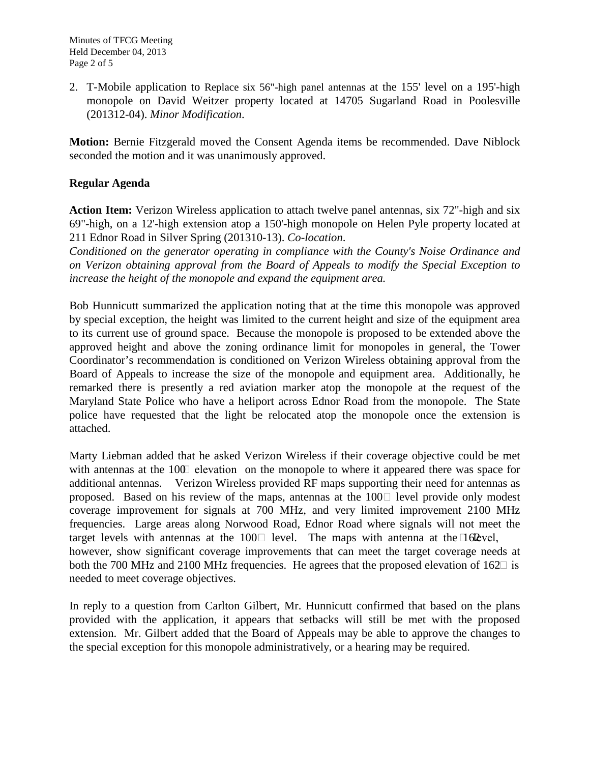2. T-Mobile application to Replace six 56"-high panel antennas at the 155' level on a 195'-high monopole on David Weitzer property located at 14705 Sugarland Road in Poolesville (201312-04). *Minor Modification*.

**Motion:** Bernie Fitzgerald moved the Consent Agenda items be recommended. Dave Niblock seconded the motion and it was unanimously approved.

## **Regular Agenda**

**Action Item:** Verizon Wireless application to attach twelve panel antennas, six 72"-high and six 69"-high, on a 12'-high extension atop a 150'-high monopole on Helen Pyle property located at 211 Ednor Road in Silver Spring (201310-13). *Co-location*.

*Conditioned on the generator operating in compliance with the County's Noise Ordinance and on Verizon obtaining approval from the Board of Appeals to modify the Special Exception to increase the height of the monopole and expand the equipment area.*

Bob Hunnicutt summarized the application noting that at the time this monopole was approved by special exception, the height was limited to the current height and size of the equipment area to its current use of ground space. Because the monopole is proposed to be extended above the approved height and above the zoning ordinance limit for monopoles in general, the Tower Coordinator's recommendation is conditioned on Verizon Wireless obtaining approval from the Board of Appeals to increase the size of the monopole and equipment area. Additionally, he remarked there is presently a red aviation marker atop the monopole at the request of the Maryland State Police who have a heliport across Ednor Road from the monopole. The State police have requested that the light be relocated atop the monopole once the extension is attached.

Marty Liebman added that he asked Verizon Wireless if their coverage objective could be met with antennas at the  $100$  elevation on the monopole to where it appeared there was space for additional antennas. Verizon Wireless provided RF maps supporting their need for antennas as proposed. Based on his review of the maps, antennas at the  $100\degree$  level provide only modest coverage improvement for signals at 700 MHz, and very limited improvement 2100 MHz frequencies. Large areas along Norwood Road, Ednor Road where signals will not meet the target levels with antennas at the 100 $\Box$  level. The maps with antenna at the  $\Box$  62 vel, however, show significant coverage improvements that can meet the target coverage needs at both the 700 MHz and 2100 MHz frequencies. He agrees that the proposed elevation of  $162\Box$  is needed to meet coverage objectives.

In reply to a question from Carlton Gilbert, Mr. Hunnicutt confirmed that based on the plans provided with the application, it appears that setbacks will still be met with the proposed extension. Mr. Gilbert added that the Board of Appeals may be able to approve the changes to the special exception for this monopole administratively, or a hearing may be required.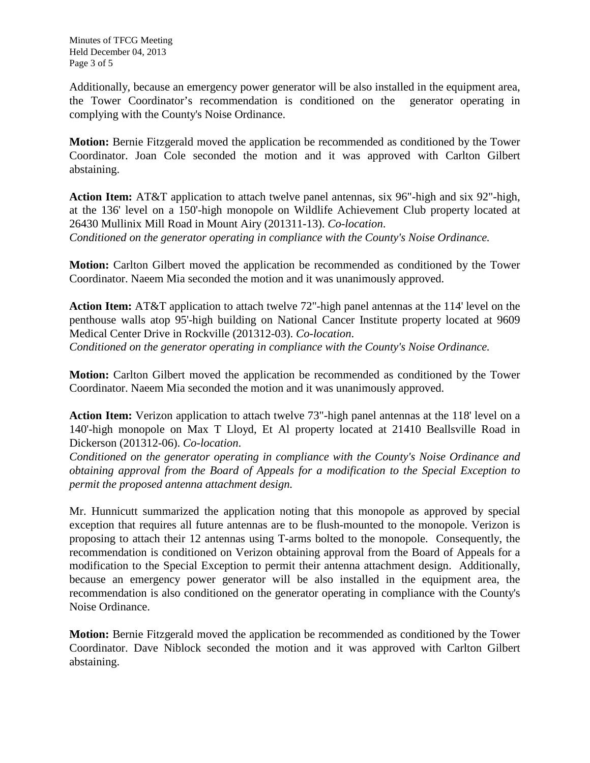Additionally, because an emergency power generator will be also installed in the equipment area, the Tower Coordinator's recommendation is conditioned on the generator operating in complying with the County's Noise Ordinance.

**Motion:** Bernie Fitzgerald moved the application be recommended as conditioned by the Tower Coordinator. Joan Cole seconded the motion and it was approved with Carlton Gilbert abstaining.

**Action Item:** AT&T application to attach twelve panel antennas, six 96"-high and six 92"-high, at the 136' level on a 150'-high monopole on Wildlife Achievement Club property located at 26430 Mullinix Mill Road in Mount Airy (201311-13). *Co-location*. *Conditioned on the generator operating in compliance with the County's Noise Ordinance.*

**Motion:** Carlton Gilbert moved the application be recommended as conditioned by the Tower Coordinator. Naeem Mia seconded the motion and it was unanimously approved.

**Action Item:** AT&T application to attach twelve 72"-high panel antennas at the 114' level on the penthouse walls atop 95'-high building on National Cancer Institute property located at 9609 Medical Center Drive in Rockville (201312-03). *Co-location*. *Conditioned on the generator operating in compliance with the County's Noise Ordinance.*

**Motion:** Carlton Gilbert moved the application be recommended as conditioned by the Tower Coordinator. Naeem Mia seconded the motion and it was unanimously approved.

**Action Item:** Verizon application to attach twelve 73"-high panel antennas at the 118' level on a 140'-high monopole on Max T Lloyd, Et Al property located at 21410 Beallsville Road in Dickerson (201312-06). *Co-location*.

*Conditioned on the generator operating in compliance with the County's Noise Ordinance and obtaining approval from the Board of Appeals for a modification to the Special Exception to permit the proposed antenna attachment design.*

Mr. Hunnicutt summarized the application noting that this monopole as approved by special exception that requires all future antennas are to be flush-mounted to the monopole. Verizon is proposing to attach their 12 antennas using T-arms bolted to the monopole. Consequently, the recommendation is conditioned on Verizon obtaining approval from the Board of Appeals for a modification to the Special Exception to permit their antenna attachment design. Additionally, because an emergency power generator will be also installed in the equipment area, the recommendation is also conditioned on the generator operating in compliance with the County's Noise Ordinance.

**Motion:** Bernie Fitzgerald moved the application be recommended as conditioned by the Tower Coordinator. Dave Niblock seconded the motion and it was approved with Carlton Gilbert abstaining.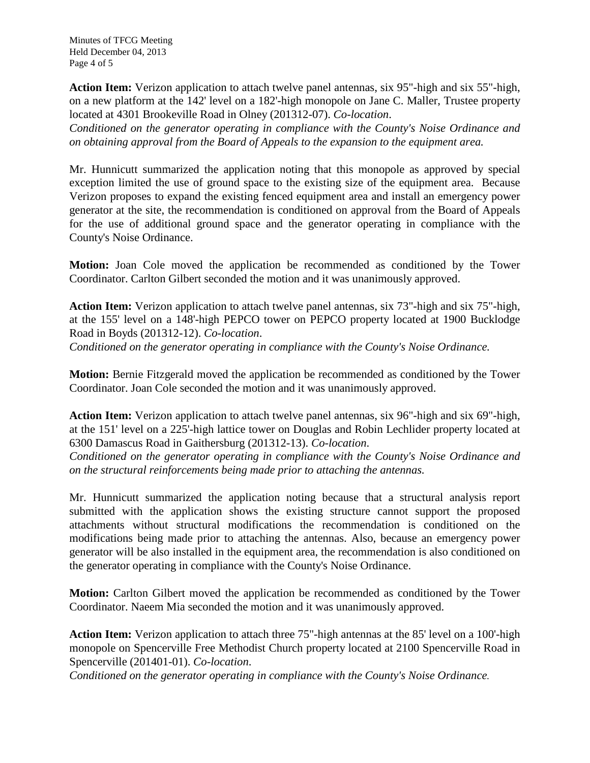Minutes of TFCG Meeting Held December 04, 2013 Page 4 of 5

**Action Item:** Verizon application to attach twelve panel antennas, six 95"-high and six 55"-high, on a new platform at the 142' level on a 182'-high monopole on Jane C. Maller, Trustee property located at 4301 Brookeville Road in Olney (201312-07). *Co-location*.

*Conditioned on the generator operating in compliance with the County's Noise Ordinance and on obtaining approval from the Board of Appeals to the expansion to the equipment area.*

Mr. Hunnicutt summarized the application noting that this monopole as approved by special exception limited the use of ground space to the existing size of the equipment area. Because Verizon proposes to expand the existing fenced equipment area and install an emergency power generator at the site, the recommendation is conditioned on approval from the Board of Appeals for the use of additional ground space and the generator operating in compliance with the County's Noise Ordinance.

**Motion:** Joan Cole moved the application be recommended as conditioned by the Tower Coordinator. Carlton Gilbert seconded the motion and it was unanimously approved.

**Action Item:** Verizon application to attach twelve panel antennas, six 73"-high and six 75"-high, at the 155' level on a 148'-high PEPCO tower on PEPCO property located at 1900 Bucklodge Road in Boyds (201312-12). *Co-location*.

*Conditioned on the generator operating in compliance with the County's Noise Ordinance.*

**Motion:** Bernie Fitzgerald moved the application be recommended as conditioned by the Tower Coordinator. Joan Cole seconded the motion and it was unanimously approved.

**Action Item:** Verizon application to attach twelve panel antennas, six 96"-high and six 69"-high, at the 151' level on a 225'-high lattice tower on Douglas and Robin Lechlider property located at 6300 Damascus Road in Gaithersburg (201312-13). *Co-location*.

*Conditioned on the generator operating in compliance with the County's Noise Ordinance and on the structural reinforcements being made prior to attaching the antennas.*

Mr. Hunnicutt summarized the application noting because that a structural analysis report submitted with the application shows the existing structure cannot support the proposed attachments without structural modifications the recommendation is conditioned on the modifications being made prior to attaching the antennas. Also, because an emergency power generator will be also installed in the equipment area, the recommendation is also conditioned on the generator operating in compliance with the County's Noise Ordinance.

**Motion:** Carlton Gilbert moved the application be recommended as conditioned by the Tower Coordinator. Naeem Mia seconded the motion and it was unanimously approved.

**Action Item:** Verizon application to attach three 75"-high antennas at the 85' level on a 100'-high monopole on Spencerville Free Methodist Church property located at 2100 Spencerville Road in Spencerville (201401-01). *Co-location*.

*Conditioned on the generator operating in compliance with the County's Noise Ordinance.*